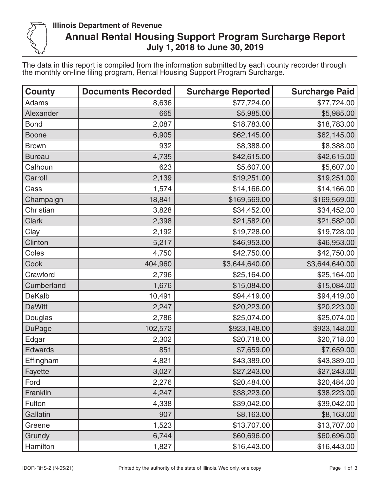

## **Illinois Department of Revenue Annual Rental Housing Support Program Surcharge Report July 1, 2018 to June 30, 2019**

The data in this report is compiled from the information submitted by each county recorder through the monthly on-line filing program, Rental Housing Support Program Surcharge.

| <b>County</b>  | <b>Documents Recorded</b> | <b>Surcharge Reported</b> | <b>Surcharge Paid</b> |
|----------------|---------------------------|---------------------------|-----------------------|
| <b>Adams</b>   | 8,636                     | \$77,724.00               | \$77,724.00           |
| Alexander      | 665                       | \$5,985.00                | \$5,985.00            |
| <b>Bond</b>    | 2,087                     | \$18,783.00               | \$18,783.00           |
| <b>Boone</b>   | 6,905                     | \$62,145.00               | \$62,145.00           |
| <b>Brown</b>   | 932                       | \$8,388.00                | \$8,388.00            |
| <b>Bureau</b>  | 4,735                     | \$42,615.00               | \$42,615.00           |
| Calhoun        | 623                       | \$5,607.00                | \$5,607.00            |
| Carroll        | 2,139                     | \$19,251.00               | \$19,251.00           |
| Cass           | 1,574                     | \$14,166.00               | \$14,166.00           |
| Champaign      | 18,841                    | \$169,569.00              | \$169,569.00          |
| Christian      | 3,828                     | \$34,452.00               | \$34,452.00           |
| <b>Clark</b>   | 2,398                     | \$21,582.00               | \$21,582.00           |
| Clay           | 2,192                     | \$19,728.00               | \$19,728.00           |
| Clinton        | 5,217                     | \$46,953.00               | \$46,953.00           |
| Coles          | 4,750                     | \$42,750.00               | \$42,750.00           |
| Cook           | 404,960                   | \$3,644,640.00            | \$3,644,640.00        |
| Crawford       | 2,796                     | \$25,164.00               | \$25,164.00           |
| Cumberland     | 1,676                     | \$15,084.00               | \$15,084.00           |
| <b>DeKalb</b>  | 10,491                    | \$94,419.00               | \$94,419.00           |
| <b>DeWitt</b>  | 2,247                     | \$20,223.00               | \$20,223.00           |
| Douglas        | 2,786                     | \$25,074.00               | \$25,074.00           |
| <b>DuPage</b>  | 102,572                   | \$923,148.00              | \$923,148.00          |
| Edgar          | 2,302                     | \$20,718.00               | \$20,718.00           |
| <b>Edwards</b> | 851                       | \$7,659.00                | \$7,659.00            |
| Effingham      | 4,821                     | \$43,389.00               | \$43,389.00           |
| Fayette        | 3,027                     | \$27,243.00               | \$27,243.00           |
| Ford           | 2,276                     | \$20,484.00               | \$20,484.00           |
| Franklin       | 4,247                     | \$38,223.00               | \$38,223.00           |
| Fulton         | 4,338                     | \$39,042.00               | \$39,042.00           |
| Gallatin       | 907                       | \$8,163.00                | \$8,163.00            |
| Greene         | 1,523                     | \$13,707.00               | \$13,707.00           |
| Grundy         | 6,744                     | \$60,696.00               | \$60,696.00           |
| Hamilton       | 1,827                     | \$16,443.00               | \$16,443.00           |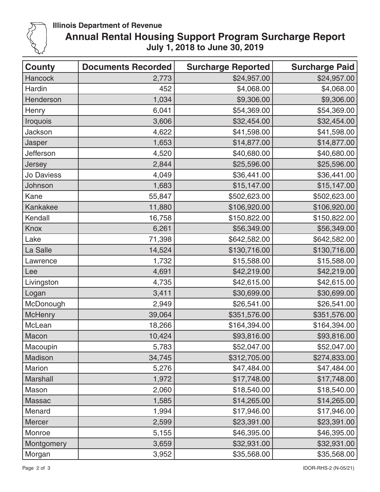

## **Illinois Department of Revenue**

## **Annual Rental Housing Support Program Surcharge Report July 1, 2018 to June 30, 2019**

| <b>County</b>   | <b>Documents Recorded</b> | <b>Surcharge Reported</b> | <b>Surcharge Paid</b> |
|-----------------|---------------------------|---------------------------|-----------------------|
| <b>Hancock</b>  | 2,773                     | \$24,957.00               | \$24,957.00           |
| Hardin          | 452                       | \$4,068.00                | \$4,068.00            |
| Henderson       | 1,034                     | \$9,306.00                | \$9,306.00            |
| Henry           | 6,041                     | \$54,369.00               | \$54,369.00           |
| Iroquois        | 3,606                     | \$32,454.00               | \$32,454.00           |
| Jackson         | 4,622                     | \$41,598.00               | \$41,598.00           |
| Jasper          | 1,653                     | \$14,877.00               | \$14,877.00           |
| Jefferson       | 4,520                     | \$40,680.00               | \$40,680.00           |
| Jersey          | 2,844                     | \$25,596.00               | \$25,596.00           |
| Jo Daviess      | 4,049                     | \$36,441.00               | \$36,441.00           |
| Johnson         | 1,683                     | \$15,147.00               | \$15,147.00           |
| Kane            | 55,847                    | \$502,623.00              | \$502,623.00          |
| <b>Kankakee</b> | 11,880                    | \$106,920.00              | \$106,920.00          |
| Kendall         | 16,758                    | \$150,822.00              | \$150,822.00          |
| Knox            | 6,261                     | \$56,349.00               | \$56,349.00           |
| Lake            | 71,398                    | \$642,582.00              | \$642,582.00          |
| La Salle        | 14,524                    | \$130,716.00              | \$130,716.00          |
| Lawrence        | 1,732                     | \$15,588.00               | \$15,588.00           |
| Lee             | 4,691                     | \$42,219.00               | \$42,219.00           |
| Livingston      | 4,735                     | \$42,615.00               | \$42,615.00           |
| Logan           | 3,411                     | \$30,699.00               | \$30,699.00           |
| McDonough       | 2,949                     | \$26,541.00               | \$26,541.00           |
| <b>McHenry</b>  | 39,064                    | \$351,576.00              | \$351,576.00          |
| McLean          | 18,266                    | \$164,394.00              | \$164,394.00          |
| Macon           | 10,424                    | \$93,816.00               | \$93,816.00           |
| Macoupin        | 5,783                     | \$52,047.00               | \$52,047.00           |
| Madison         | 34,745                    | \$312,705.00              | \$274,833.00          |
| <b>Marion</b>   | 5,276                     | \$47,484.00               | \$47,484.00           |
| <b>Marshall</b> | 1,972                     | \$17,748.00               | \$17,748.00           |
| Mason           | 2,060                     | \$18,540.00               | \$18,540.00           |
| <b>Massac</b>   | 1,585                     | \$14,265.00               | \$14,265.00           |
| Menard          | 1,994                     | \$17,946.00               | \$17,946.00           |
| Mercer          | 2,599                     | \$23,391.00               | \$23,391.00           |
| Monroe          | 5,155                     | \$46,395.00               | \$46,395.00           |
| Montgomery      | 3,659                     | \$32,931.00               | \$32,931.00           |
| Morgan          | 3,952                     | \$35,568.00               | \$35,568.00           |